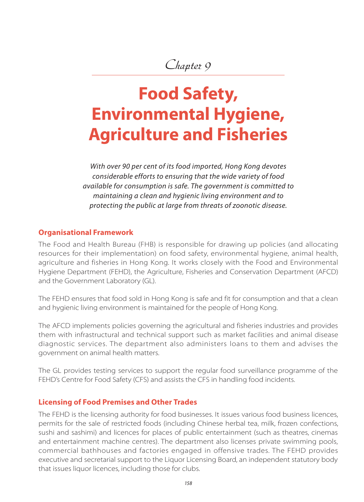# *Chapter 9*

# **Food Safety, Environmental Hygiene, Agriculture and Fisheries**

*With over 90 per cent of its food imported, Hong Kong devotes considerable efforts to ensuring that the wide variety of food available for consumption is safe. The government is committed to maintaining a clean and hygienic living environment and to protecting the public at large from threats of zoonotic disease.* 

#### **Organisational Framework**

The Food and Health Bureau (FHB) is responsible for drawing up policies (and allocating resources for their implementation) on food safety, environmental hygiene, animal health, agriculture and fisheries in Hong Kong. It works closely with the Food and Environmental Hygiene Department (FEHD), the Agriculture, Fisheries and Conservation Department (AFCD) and the Government Laboratory (GL).

The FEHD ensures that food sold in Hong Kong is safe and fit for consumption and that a clean and hygienic living environment is maintained for the people of Hong Kong.

The AFCD implements policies governing the agricultural and fisheries industries and provides them with infrastructural and technical support such as market facilities and animal disease diagnostic services. The department also administers loans to them and advises the government on animal health matters.

The GL provides testing services to support the regular food surveillance programme of the FEHD's Centre for Food Safety (CFS) and assists the CFS in handling food incidents.

#### **Licensing of Food Premises and Other Trades**

The FEHD is the licensing authority for food businesses. It issues various food business licences, permits for the sale of restricted foods (including Chinese herbal tea, milk, frozen confections, sushi and sashimi) and licences for places of public entertainment (such as theatres, cinemas and entertainment machine centres). The department also licenses private swimming pools, commercial bathhouses and factories engaged in offensive trades. The FEHD provides executive and secretarial support to the Liquor Licensing Board, an independent statutory body that issues liquor licences, including those for clubs.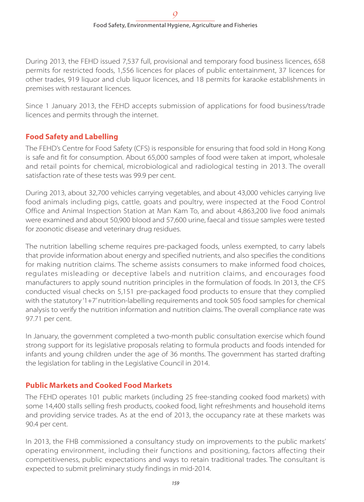During 2013, the FEHD issued 7,537 full, provisional and temporary food business licences, 658 permits for restricted foods, 1,556 licences for places of public entertainment, 37 licences for other trades, 919 liquor and club liquor licences, and 18 permits for karaoke establishments in premises with restaurant licences.

Since 1 January 2013, the FEHD accepts submission of applications for food business/trade licences and permits through the internet.

#### **Food Safety and Labelling**

The FEHD's Centre for Food Safety (CFS) is responsible for ensuring that food sold in Hong Kong is safe and fit for consumption. About 65,000 samples of food were taken at import, wholesale and retail points for chemical, microbiological and radiological testing in 2013. The overall satisfaction rate of these tests was 99.9 per cent.

During 2013, about 32,700 vehicles carrying vegetables, and about 43,000 vehicles carrying live food animals including pigs, cattle, goats and poultry, were inspected at the Food Control Office and Animal Inspection Station at Man Kam To, and about 4,863,200 live food animals were examined and about 50,900 blood and 57,600 urine, faecal and tissue samples were tested for zoonotic disease and veterinary drug residues.

The nutrition labelling scheme requires pre-packaged foods, unless exempted, to carry labels that provide information about energy and specified nutrients, and also specifies the conditions for making nutrition claims. The scheme assists consumers to make informed food choices, regulates misleading or deceptive labels and nutrition claims, and encourages food manufacturers to apply sound nutrition principles in the formulation of foods. In 2013, the CFS conducted visual checks on 5,151 pre-packaged food products to ensure that they complied with the statutory '1+7' nutrition-labelling requirements and took 505 food samples for chemical analysis to verify the nutrition information and nutrition claims. The overall compliance rate was 97.71 per cent.

In January, the government completed a two-month public consultation exercise which found strong support for its legislative proposals relating to formula products and foods intended for infants and young children under the age of 36 months. The government has started drafting the legislation for tabling in the Legislative Council in 2014.

#### **Public Markets and Cooked Food Markets**

The FEHD operates 101 public markets (including 25 free-standing cooked food markets) with some 14,400 stalls selling fresh products, cooked food, light refreshments and household items and providing service trades. As at the end of 2013, the occupancy rate at these markets was 90.4 per cent.

In 2013, the FHB commissioned a consultancy study on improvements to the public markets' operating environment, including their functions and positioning, factors affecting their competitiveness, public expectations and ways to retain traditional trades. The consultant is expected to submit preliminary study findings in mid-2014.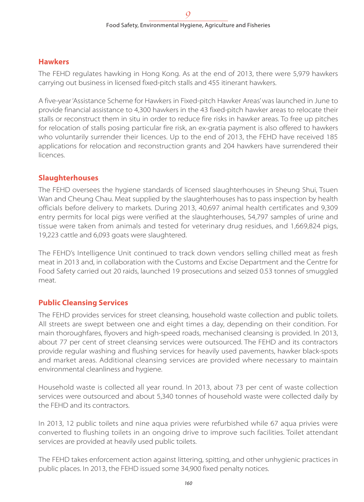#### **Hawkers**

The FEHD regulates hawking in Hong Kong. As at the end of 2013, there were 5,979 hawkers carrying out business in licensed fixed-pitch stalls and 455 itinerant hawkers.

A five-year 'Assistance Scheme for Hawkers in Fixed-pitch Hawker Areas' was launched in June to provide financial assistance to 4,300 hawkers in the 43 fixed-pitch hawker areas to relocate their stalls or reconstruct them in situ in order to reduce fire risks in hawker areas. To free up pitches for relocation of stalls posing particular fire risk, an ex-gratia payment is also offered to hawkers who voluntarily surrender their licences. Up to the end of 2013, the FEHD have received 185 applications for relocation and reconstruction grants and 204 hawkers have surrendered their licences.

#### **Slaughterhouses**

The FEHD oversees the hygiene standards of licensed slaughterhouses in Sheung Shui, Tsuen Wan and Cheung Chau. Meat supplied by the slaughterhouses has to pass inspection by health officials before delivery to markets. During 2013, 40,697 animal health certificates and 9,309 entry permits for local pigs were verified at the slaughterhouses, 54,797 samples of urine and tissue were taken from animals and tested for veterinary drug residues, and 1,669,824 pigs, 19,223 cattle and 6,093 goats were slaughtered.

The FEHD's Intelligence Unit continued to track down vendors selling chilled meat as fresh meat in 2013 and, in collaboration with the Customs and Excise Department and the Centre for Food Safety carried out 20 raids, launched 19 prosecutions and seized 0.53 tonnes of smuggled meat.

# **Public Cleansing Services**

The FEHD provides services for street cleansing, household waste collection and public toilets. All streets are swept between one and eight times a day, depending on their condition. For main thoroughfares, flyovers and high-speed roads, mechanised cleansing is provided. In 2013, about 77 per cent of street cleansing services were outsourced. The FEHD and its contractors provide regular washing and flushing services for heavily used pavements, hawker black-spots and market areas. Additional cleansing services are provided where necessary to maintain environmental cleanliness and hygiene.

Household waste is collected all year round. In 2013, about 73 per cent of waste collection services were outsourced and about 5,340 tonnes of household waste were collected daily by the FEHD and its contractors.

In 2013, 12 public toilets and nine aqua privies were refurbished while 67 aqua privies were converted to flushing toilets in an ongoing drive to improve such facilities. Toilet attendant services are provided at heavily used public toilets.

The FEHD takes enforcement action against littering, spitting, and other unhygienic practices in public places. In 2013, the FEHD issued some 34,900 fixed penalty notices.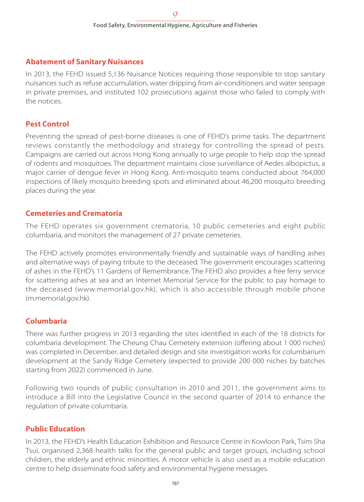#### **Abatement of Sanitary Nuisances**

In 2013, the FEHD issued 5,136 Nuisance Notices requiring those responsible to stop sanitary nuisances such as refuse accumulation, water dripping from air-conditioners and water seepage in private premises, and instituted 102 prosecutions against those who failed to comply with the notices.

#### **Pest Control**

Preventing the spread of pest-borne diseases is one of FEHD's prime tasks. The department reviews constantly the methodology and strategy for controlling the spread of pests. Campaigns are carried out across Hong Kong annually to urge people to help stop the spread of rodents and mosquitoes. The department maintains close surveillance of Aedes albopictus, a major carrier of dengue fever in Hong Kong. Anti-mosquito teams conducted about 764,000 inspections of likely mosquito breeding spots and eliminated about 46,200 mosquito breeding places during the year.

#### **Cemeteries and Crematoria**

The FEHD operates six government crematoria, 10 public cemeteries and eight public columbaria, and monitors the management of 27 private cemeteries.

The FEHD actively promotes environmentally friendly and sustainable ways of handling ashes and alternative ways of paying tribute to the deceased. The government encourages scattering of ashes in the FEHD's 11 Gardens of Remembrance. The FEHD also provides a free ferry service for scattering ashes at sea and an Internet Memorial Service for the public to pay homage to the deceased (www.memorial.gov.hk), which is also accessible through mobile phone (m.memorial.gov.hk).

#### **Columbaria**

There was further progress in 2013 regarding the sites identified in each of the 18 districts for columbaria development. The Cheung Chau Cemetery extension (offering about 1 000 niches) was completed in December, and detailed design and site investigation works for columbarium development at the Sandy Ridge Cemetery (expected to provide 200 000 niches by batches starting from 2022) commenced in June.

Following two rounds of public consultation in 2010 and 2011, the government aims to introduce a Bill into the Legislative Council in the second quarter of 2014 to enhance the regulation of private columbaria.

#### **Public Education**

In 2013, the FEHD's Health Education Exhibition and Resource Centre in Kowloon Park, Tsim Sha Tsui, organised 2,368 health talks for the general public and target groups, including school children, the elderly and ethnic minorities. A motor vehicle is also used as a mobile education centre to help disseminate food safety and environmental hygiene messages.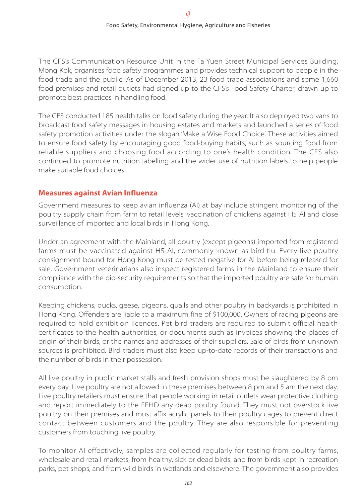The CFS's Communication Resource Unit in the Fa Yuen Street Municipal Services Building, Mong Kok, organises food safety programmes and provides technical support to people in the food trade and the public. As of December 2013, 23 food trade associations and some 1,660 food premises and retail outlets had signed up to the CFS's Food Safety Charter, drawn up to promote best practices in handling food.

The CFS conducted 185 health talks on food safety during the year. It also deployed two vans to broadcast food safety messages in housing estates and markets and launched a series of food safety promotion activities under the slogan 'Make a Wise Food Choice'. These activities aimed to ensure food safety by encouraging good food-buying habits, such as sourcing food from reliable suppliers and choosing food according to one's health condition. The CFS also continued to promote nutrition labelling and the wider use of nutrition labels to help people make suitable food choices.

#### **Measures against Avian Influenza**

Government measures to keep avian influenza (AI) at bay include stringent monitoring of the poultry supply chain from farm to retail levels, vaccination of chickens against H5 AI and close surveillance of imported and local birds in Hong Kong.

Under an agreement with the Mainland, all poultry (except pigeons) imported from registered farms must be vaccinated against H5 AI, commonly known as bird flu. Every live poultry consignment bound for Hong Kong must be tested negative for AI before being released for sale. Government veterinarians also inspect registered farms in the Mainland to ensure their compliance with the bio-security requirements so that the imported poultry are safe for human consumption.

Keeping chickens, ducks, geese, pigeons, quails and other poultry in backyards is prohibited in Hong Kong. Offenders are liable to a maximum fine of \$100,000. Owners of racing pigeons are required to hold exhibition licences. Pet bird traders are required to submit official health certificates to the health authorities, or documents such as invoices showing the places of origin of their birds, or the names and addresses of their suppliers. Sale of birds from unknown sources is prohibited. Bird traders must also keep up-to-date records of their transactions and the number of birds in their possession.

All live poultry in public market stalls and fresh provision shops must be slaughtered by 8 pm every day. Live poultry are not allowed in these premises between 8 pm and 5 am the next day. Live poultry retailers must ensure that people working in retail outlets wear protective clothing and report immediately to the FEHD any dead poultry found. They must not overstock live poultry on their premises and must affix acrylic panels to their poultry cages to prevent direct contact between customers and the poultry. They are also responsible for preventing customers from touching live poultry.

To monitor AI effectively, samples are collected regularly for testing from poultry farms, wholesale and retail markets, from healthy, sick or dead birds, and from birds kept in recreation parks, pet shops, and from wild birds in wetlands and elsewhere. The government also provides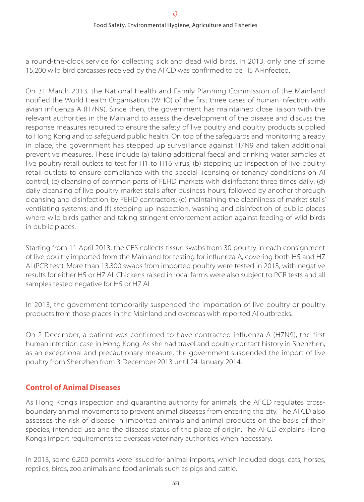a round-the-clock service for collecting sick and dead wild birds. In 2013, only one of some 15,200 wild bird carcasses received by the AFCD was confirmed to be H5 AI-infected.

On 31 March 2013, the National Health and Family Planning Commission of the Mainland notified the World Health Organisation (WHO) of the first three cases of human infection with avian influenza A (H7N9). Since then, the government has maintained close liaison with the relevant authorities in the Mainland to assess the development of the disease and discuss the response measures required to ensure the safety of live poultry and poultry products supplied to Hong Kong and to safeguard public health. On top of the safeguards and monitoring already in place, the government has stepped up surveillance against H7N9 and taken additional preventive measures. These include (a) taking additional faecal and drinking water samples at live poultry retail outlets to test for H1 to H16 virus; (b) stepping up inspection of live poultry retail outlets to ensure compliance with the special licensing or tenancy conditions on AI control; (c) cleansing of common parts of FEHD markets with disinfectant three times daily; (d) daily cleansing of live poultry market stalls after business hours, followed by another thorough cleansing and disinfection by FEHD contractors; (e) maintaining the cleanliness of market stalls' ventilating systems; and (f) stepping up inspection, washing and disinfection of public places where wild birds gather and taking stringent enforcement action against feeding of wild birds in public places.

Starting from 11 April 2013, the CFS collects tissue swabs from 30 poultry in each consignment of live poultry imported from the Mainland for testing for influenza A, covering both H5 and H7 AI (PCR test). More than 13,300 swabs from imported poultry were tested in 2013, with negative results for either H5 or H7 AI. Chickens raised in local farms were also subject to PCR tests and all samples tested negative for H5 or H7 AI.

In 2013, the government temporarily suspended the importation of live poultry or poultry products from those places in the Mainland and overseas with reported AI outbreaks.

On 2 December, a patient was confirmed to have contracted influenza A (H7N9), the first human infection case in Hong Kong. As she had travel and poultry contact history in Shenzhen, as an exceptional and precautionary measure, the government suspended the import of live poultry from Shenzhen from 3 December 2013 until 24 January 2014.

# **Control of Animal Diseases**

As Hong Kong's inspection and quarantine authority for animals, the AFCD regulates crossboundary animal movements to prevent animal diseases from entering the city. The AFCD also assesses the risk of disease in imported animals and animal products on the basis of their species, intended use and the disease status of the place of origin. The AFCD explains Hong Kong's import requirements to overseas veterinary authorities when necessary.

In 2013, some 6,200 permits were issued for animal imports, which included dogs, cats, horses, reptiles, birds, zoo animals and food animals such as pigs and cattle.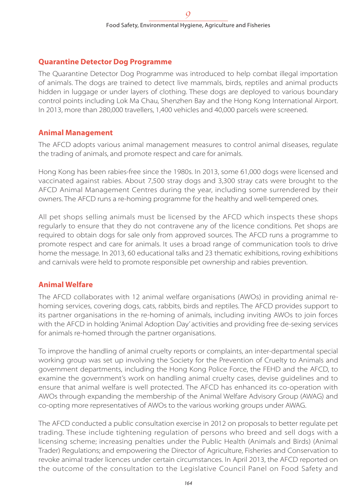#### **Quarantine Detector Dog Programme**

The Quarantine Detector Dog Programme was introduced to help combat illegal importation of animals. The dogs are trained to detect live mammals, birds, reptiles and animal products hidden in luggage or under layers of clothing. These dogs are deployed to various boundary control points including Lok Ma Chau, Shenzhen Bay and the Hong Kong International Airport. In 2013, more than 280,000 travellers, 1,400 vehicles and 40,000 parcels were screened.

#### **Animal Management**

The AFCD adopts various animal management measures to control animal diseases, regulate the trading of animals, and promote respect and care for animals.

Hong Kong has been rabies-free since the 1980s. In 2013, some 61,000 dogs were licensed and vaccinated against rabies. About 7,500 stray dogs and 3,300 stray cats were brought to the AFCD Animal Management Centres during the year, including some surrendered by their owners. The AFCD runs a re-homing programme for the healthy and well-tempered ones.

All pet shops selling animals must be licensed by the AFCD which inspects these shops regularly to ensure that they do not contravene any of the licence conditions. Pet shops are required to obtain dogs for sale only from approved sources. The AFCD runs a programme to promote respect and care for animals. It uses a broad range of communication tools to drive home the message. In 2013, 60 educational talks and 23 thematic exhibitions, roving exhibitions and carnivals were held to promote responsible pet ownership and rabies prevention.

# **Animal Welfare**

The AFCD collaborates with 12 animal welfare organisations (AWOs) in providing animal rehoming services, covering dogs, cats, rabbits, birds and reptiles. The AFCD provides support to its partner organisations in the re-homing of animals, including inviting AWOs to join forces with the AFCD in holding 'Animal Adoption Day' activities and providing free de-sexing services for animals re-homed through the partner organisations.

To improve the handling of animal cruelty reports or complaints, an inter-departmental special working group was set up involving the Society for the Prevention of Cruelty to Animals and government departments, including the Hong Kong Police Force, the FEHD and the AFCD, to examine the government's work on handling animal cruelty cases, devise guidelines and to ensure that animal welfare is well protected. The AFCD has enhanced its co-operation with AWOs through expanding the membership of the Animal Welfare Advisory Group (AWAG) and co-opting more representatives of AWOs to the various working groups under AWAG.

The AFCD conducted a public consultation exercise in 2012 on proposals to better regulate pet trading. These include tightening regulation of persons who breed and sell dogs with a licensing scheme; increasing penalties under the Public Health (Animals and Birds) (Animal Trader) Regulations; and empowering the Director of Agriculture, Fisheries and Conservation to revoke animal trader licences under certain circumstances. In April 2013, the AFCD reported on the outcome of the consultation to the Legislative Council Panel on Food Safety and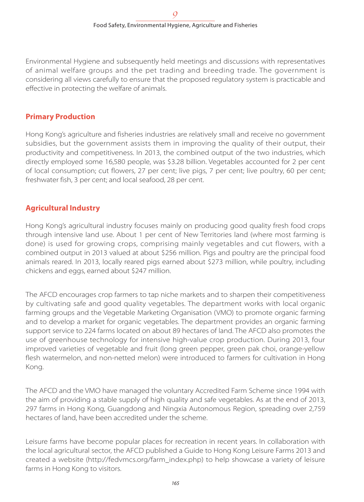Environmental Hygiene and subsequently held meetings and discussions with representatives of animal welfare groups and the pet trading and breeding trade. The government is considering all views carefully to ensure that the proposed regulatory system is practicable and effective in protecting the welfare of animals.

#### **Primary Production**

Hong Kong's agriculture and fisheries industries are relatively small and receive no government subsidies, but the government assists them in improving the quality of their output, their productivity and competitiveness. In 2013, the combined output of the two industries, which directly employed some 16,580 people, was \$3.28 billion. Vegetables accounted for 2 per cent of local consumption; cut flowers, 27 per cent; live pigs, 7 per cent; live poultry, 60 per cent; freshwater fish, 3 per cent; and local seafood, 28 per cent.

#### **Agricultural Industry**

Hong Kong's agricultural industry focuses mainly on producing good quality fresh food crops through intensive land use. About 1 per cent of New Territories land (where most farming is done) is used for growing crops, comprising mainly vegetables and cut flowers, with a combined output in 2013 valued at about \$256 million. Pigs and poultry are the principal food animals reared. In 2013, locally reared pigs earned about \$273 million, while poultry, including chickens and eggs, earned about \$247 million.

The AFCD encourages crop farmers to tap niche markets and to sharpen their competitiveness by cultivating safe and good quality vegetables. The department works with local organic farming groups and the Vegetable Marketing Organisation (VMO) to promote organic farming and to develop a market for organic vegetables. The department provides an organic farming support service to 224 farms located on about 89 hectares of land. The AFCD also promotes the use of greenhouse technology for intensive high-value crop production. During 2013, four improved varieties of vegetable and fruit (long green pepper, green pak choi, orange-yellow flesh watermelon, and non-netted melon) were introduced to farmers for cultivation in Hong Kong.

The AFCD and the VMO have managed the voluntary Accredited Farm Scheme since 1994 with the aim of providing a stable supply of high quality and safe vegetables. As at the end of 2013, 297 farms in Hong Kong, Guangdong and Ningxia Autonomous Region, spreading over 2,759 hectares of land, have been accredited under the scheme.

Leisure farms have become popular places for recreation in recent years. In collaboration with the local agricultural sector, the AFCD published a Guide to Hong Kong Leisure Farms 2013 and created a website (http://fedvmcs.org/farm\_index.php) to help showcase a variety of leisure farms in Hong Kong to visitors.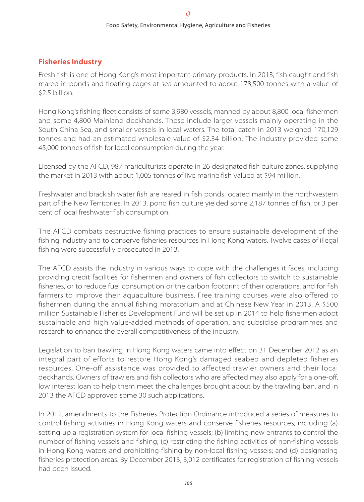#### **Fisheries Industry**

Fresh fish is one of Hong Kong's most important primary products. In 2013, fish caught and fish reared in ponds and floating cages at sea amounted to about 173,500 tonnes with a value of \$2.5 billion.

Hong Kong's fishing fleet consists of some 3,980 vessels, manned by about 8,800 local fishermen and some 4,800 Mainland deckhands. These include larger vessels mainly operating in the South China Sea, and smaller vessels in local waters. The total catch in 2013 weighed 170,129 tonnes and had an estimated wholesale value of \$2.34 billion. The industry provided some 45,000 tonnes of fish for local consumption during the year.

Licensed by the AFCD, 987 mariculturists operate in 26 designated fish culture zones, supplying the market in 2013 with about 1,005 tonnes of live marine fish valued at \$94 million.

Freshwater and brackish water fish are reared in fish ponds located mainly in the northwestern part of the New Territories. In 2013, pond fish culture yielded some 2,187 tonnes of fish, or 3 per cent of local freshwater fish consumption.

The AFCD combats destructive fishing practices to ensure sustainable development of the fishing industry and to conserve fisheries resources in Hong Kong waters. Twelve cases of illegal fishing were successfully prosecuted in 2013.

The AFCD assists the industry in various ways to cope with the challenges it faces, including providing credit facilities for fishermen and owners of fish collectors to switch to sustainable fisheries, or to reduce fuel consumption or the carbon footprint of their operations, and for fish farmers to improve their aquaculture business. Free training courses were also offered to fishermen during the annual fishing moratorium and at Chinese New Year in 2013. A \$500 million Sustainable Fisheries Development Fund will be set up in 2014 to help fishermen adopt sustainable and high value-added methods of operation, and subsidise programmes and research to enhance the overall competitiveness of the industry.

Legislation to ban trawling in Hong Kong waters came into effect on 31 December 2012 as an integral part of efforts to restore Hong Kong's damaged seabed and depleted fisheries resources. One-off assistance was provided to affected trawler owners and their local deckhands. Owners of trawlers and fish collectors who are affected may also apply for a one-off, low interest loan to help them meet the challenges brought about by the trawling ban, and in 2013 the AFCD approved some 30 such applications.

In 2012, amendments to the Fisheries Protection Ordinance introduced a series of measures to control fishing activities in Hong Kong waters and conserve fisheries resources, including (a) setting up a registration system for local fishing vessels; (b) limiting new entrants to control the number of fishing vessels and fishing; (c) restricting the fishing activities of non-fishing vessels in Hong Kong waters and prohibiting fishing by non-local fishing vessels; and (d) designating fisheries protection areas. By December 2013, 3,012 certificates for registration of fishing vessels had been issued.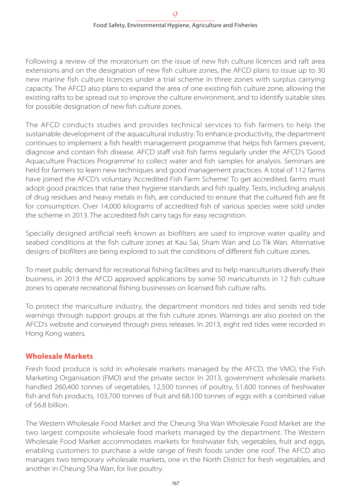Following a review of the moratorium on the issue of new fish culture licences and raft area extensions and on the designation of new fish culture zones, the AFCD plans to issue up to 30 new marine fish culture licences under a trial scheme in three zones with surplus carrying capacity. The AFCD also plans to expand the area of one existing fish culture zone, allowing the existing rafts to be spread out to improve the culture environment, and to identify suitable sites for possible designation of new fish culture zones.

The AFCD conducts studies and provides technical services to fish farmers to help the sustainable development of the aquacultural industry. To enhance productivity, the department continues to implement a fish health management programme that helps fish farmers prevent, diagnose and contain fish disease. AFCD staff visit fish farms regularly under the AFCD's 'Good Aquaculture Practices Programme' to collect water and fish samples for analysis. Seminars are held for farmers to learn new techniques and good management practices. A total of 112 farms have joined the AFCD's voluntary 'Accredited Fish Farm Scheme'. To get accredited, farms must adopt good practices that raise their hygiene standards and fish quality. Tests, including analysis of drug residues and heavy metals in fish, are conducted to ensure that the cultured fish are fit for consumption. Over 14,000 kilograms of accredited fish of various species were sold under the scheme in 2013. The accredited fish carry tags for easy recognition.

Specially designed artificial reefs known as biofilters are used to improve water quality and seabed conditions at the fish culture zones at Kau Sai, Sham Wan and Lo Tik Wan. Alternative designs of biofilters are being explored to suit the conditions of different fish culture zones.

To meet public demand for recreational fishing facilities and to help mariculturists diversify their business, in 2013 the AFCD approved applications by some 50 mariculturists in 12 fish culture zones to operate recreational fishing businesses on licensed fish culture rafts.

To protect the mariculture industry, the department monitors red tides and sends red tide warnings through support groups at the fish culture zones. Warnings are also posted on the AFCD's website and conveyed through press releases. In 2013, eight red tides were recorded in Hong Kong waters.

# **Wholesale Markets**

Fresh food produce is sold in wholesale markets managed by the AFCD, the VMO, the Fish Marketing Organisation (FMO) and the private sector. In 2013, government wholesale markets handled 260,400 tonnes of vegetables, 12,500 tonnes of poultry, 51,600 tonnes of freshwater fish and fish products, 103,700 tonnes of fruit and 68,100 tonnes of eggs with a combined value of \$6.8 billion.

The Western Wholesale Food Market and the Cheung Sha Wan Wholesale Food Market are the two largest composite wholesale food markets managed by the department. The Western Wholesale Food Market accommodates markets for freshwater fish, vegetables, fruit and eggs, enabling customers to purchase a wide range of fresh foods under one roof. The AFCD also manages two temporary wholesale markets, one in the North District for fresh vegetables, and another in Cheung Sha Wan, for live poultry.